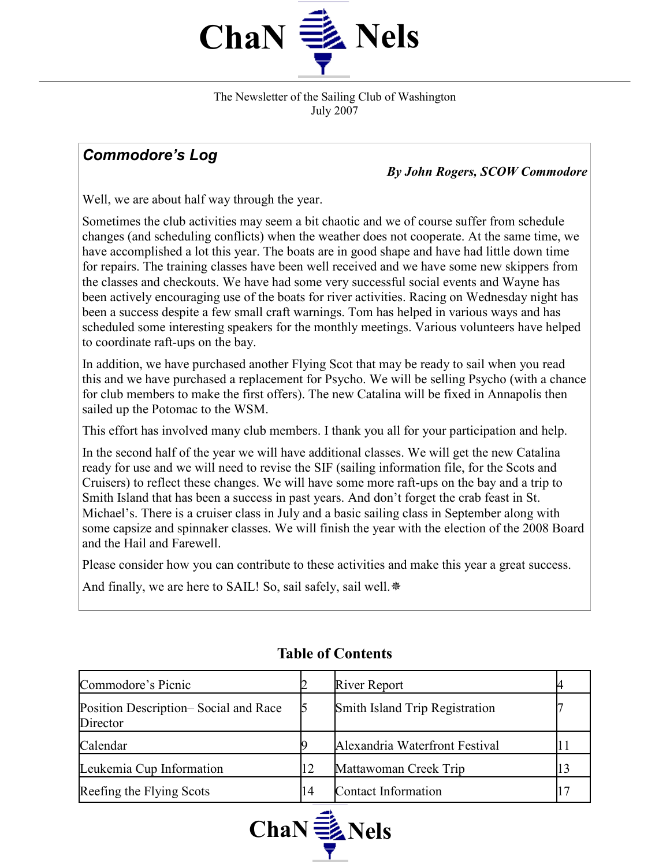

The Newsletter of the Sailing Club of Washington July 2007

# Commodore's Log

By John Rogers, SCOW Commodore

Well, we are about half way through the year.

Sometimes the club activities may seem a bit chaotic and we of course suffer from schedule changes (and scheduling conflicts) when the weather does not cooperate. At the same time, we have accomplished a lot this year. The boats are in good shape and have had little down time for repairs. The training classes have been well received and we have some new skippers from the classes and checkouts. We have had some very successful social events and Wayne has been actively encouraging use of the boats for river activities. Racing on Wednesday night has been a success despite a few small craft warnings. Tom has helped in various ways and has scheduled some interesting speakers for the monthly meetings. Various volunteers have helped to coordinate raft-ups on the bay.

In addition, we have purchased another Flying Scot that may be ready to sail when you read this and we have purchased a replacement for Psycho. We will be selling Psycho (with a chance for club members to make the first offers). The new Catalina will be fixed in Annapolis then sailed up the Potomac to the WSM.

This effort has involved many club members. I thank you all for your participation and help.

In the second half of the year we will have additional classes. We will get the new Catalina ready for use and we will need to revise the SIF (sailing information file, for the Scots and Cruisers) to reflect these changes. We will have some more raft-ups on the bay and a trip to Smith Island that has been a success in past years. And don't forget the crab feast in St. Michael's. There is a cruiser class in July and a basic sailing class in September along with some capsize and spinnaker classes. We will finish the year with the election of the 2008 Board and the Hail and Farewell.

Please consider how you can contribute to these activities and make this year a great success.

And finally, we are here to SAIL! So, sail safely, sail well.  $*$ 

| Commodore's Picnic                               |    | <b>River Report</b>            |  |
|--------------------------------------------------|----|--------------------------------|--|
| Position Description–Social and Race<br>Director |    | Smith Island Trip Registration |  |
| Calendar                                         |    | Alexandria Waterfront Festival |  |
| Leukemia Cup Information                         | 12 | Mattawoman Creek Trip          |  |
| Reefing the Flying Scots                         | 14 | Contact Information            |  |

# Table of Contents

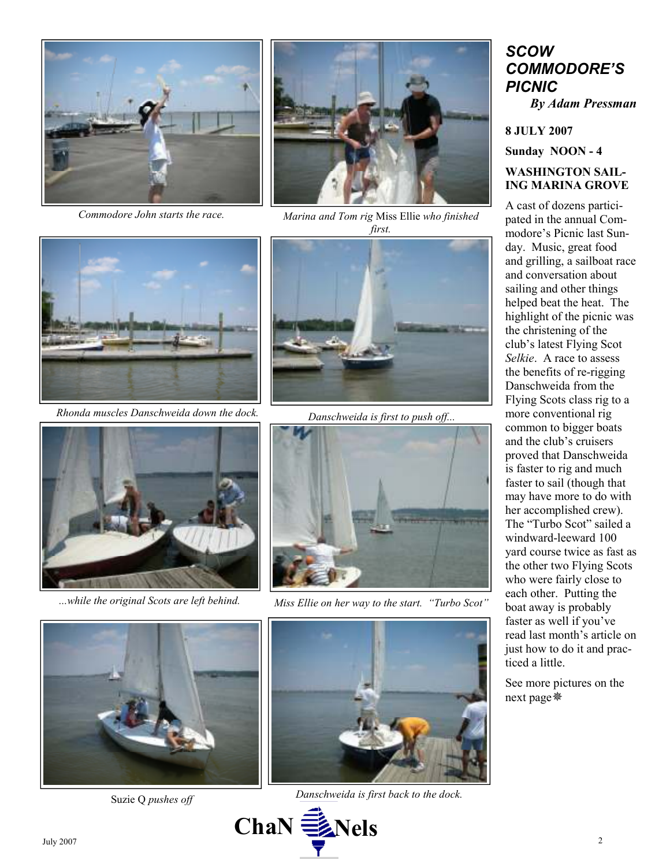

Commodore John starts the race.



Marina and Tom rig Miss Ellie who finished first.



Rhonda muscles Danschweida down the dock.



Danschweida is first to push off...





...while the original Scots are left behind. Miss Ellie on her way to the start. "Turbo Scot"





Suzie Q pushes off Danschweida is first back to the dock.



## **SCOW** COMMODORE'S PICNIC By Adam Pressman

8 JULY 2007

Sunday NOON - 4

### WASHINGTON SAIL-ING MARINA GROVE

A cast of dozens participated in the annual Commodore's Picnic last Sunday. Music, great food and grilling, a sailboat race and conversation about sailing and other things helped beat the heat. The highlight of the picnic was the christening of the club's latest Flying Scot Selkie. A race to assess the benefits of re-rigging Danschweida from the Flying Scots class rig to a more conventional rig common to bigger boats and the club's cruisers proved that Danschweida is faster to rig and much faster to sail (though that may have more to do with her accomplished crew). The "Turbo Scot" sailed a windward-leeward 100 yard course twice as fast as the other two Flying Scots who were fairly close to each other. Putting the boat away is probably faster as well if you've read last month's article on just how to do it and practiced a little.

See more pictures on the next page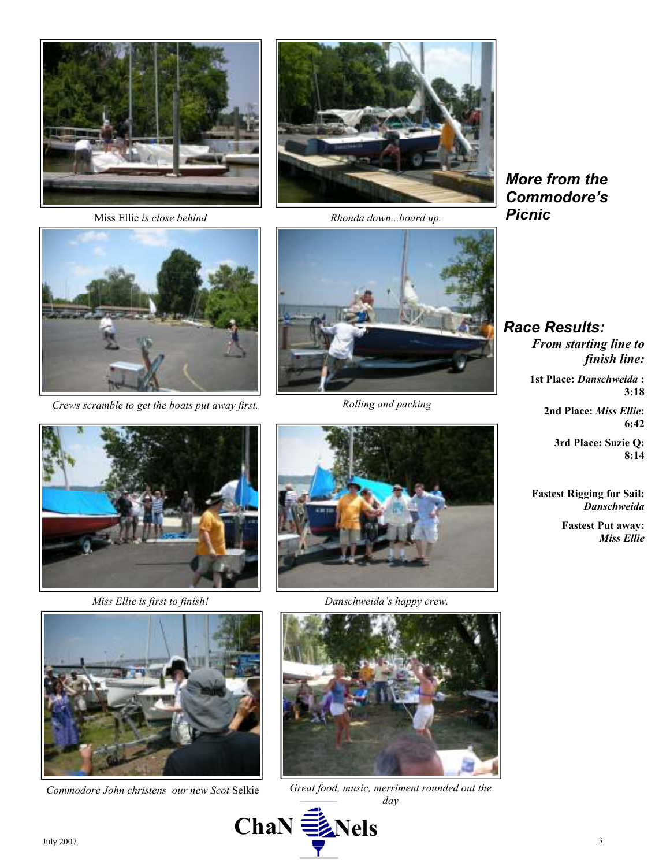



Miss Ellie is close behind Rhonda down...board up.





Crews scramble to get the boats put away first. Rolling and packing









Miss Ellie is first to finish! Danschweida's happy crew.



Commodore John christens our new Scot Selkie Great food, music, merriment rounded out the day



Race Results: From starting line to finish line:

1st Place: Danschweida : 3:18

> 2nd Place: Miss Ellie: 6:42

> > 3rd Place: Suzie Q: 8:14

Fastest Rigging for Sail: **Danschweida** 

> Fastest Put away: Miss Ellie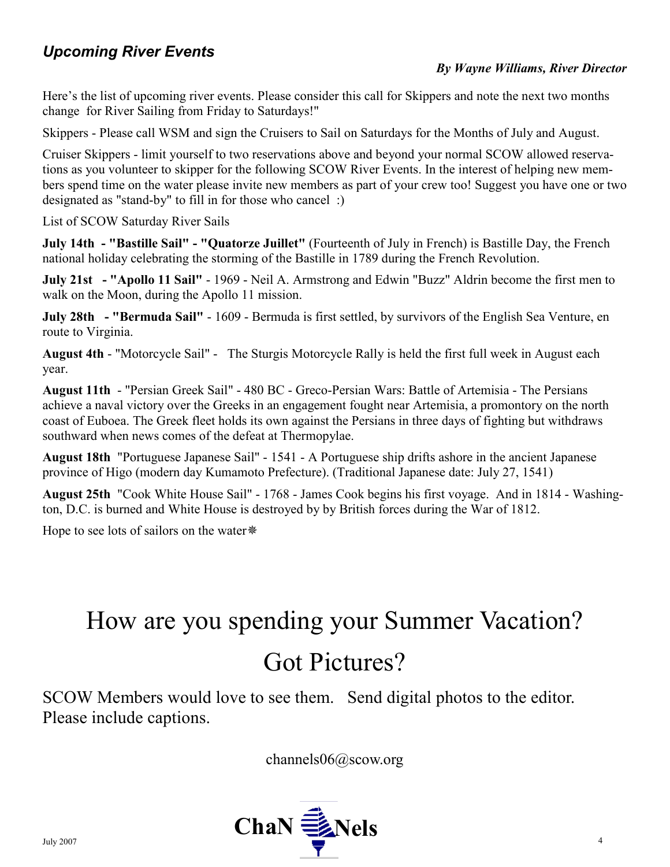# Upcoming River Events

### By Wayne Williams, River Director

Here's the list of upcoming river events. Please consider this call for Skippers and note the next two months change for River Sailing from Friday to Saturdays!"

Skippers - Please call WSM and sign the Cruisers to Sail on Saturdays for the Months of July and August.

Cruiser Skippers - limit yourself to two reservations above and beyond your normal SCOW allowed reservations as you volunteer to skipper for the following SCOW River Events. In the interest of helping new members spend time on the water please invite new members as part of your crew too! Suggest you have one or two designated as "stand-by" to fill in for those who cancel :)

List of SCOW Saturday River Sails

July 14th - "Bastille Sail" - "Quatorze Juillet" (Fourteenth of July in French) is Bastille Day, the French national holiday celebrating the storming of the Bastille in 1789 during the French Revolution.

July 21st - "Apollo 11 Sail" - 1969 - Neil A. Armstrong and Edwin "Buzz" Aldrin become the first men to walk on the Moon, during the Apollo 11 mission.

July 28th - "Bermuda Sail" - 1609 - Bermuda is first settled, by survivors of the English Sea Venture, en route to Virginia.

August 4th - "Motorcycle Sail" - The Sturgis Motorcycle Rally is held the first full week in August each year.

August 11th - "Persian Greek Sail" - 480 BC - Greco-Persian Wars: Battle of Artemisia - The Persians achieve a naval victory over the Greeks in an engagement fought near Artemisia, a promontory on the north coast of Euboea. The Greek fleet holds its own against the Persians in three days of fighting but withdraws southward when news comes of the defeat at Thermopylae.

August 18th "Portuguese Japanese Sail" - 1541 - A Portuguese ship drifts ashore in the ancient Japanese province of Higo (modern day Kumamoto Prefecture). (Traditional Japanese date: July 27, 1541)

August 25th "Cook White House Sail" - 1768 - James Cook begins his first voyage. And in 1814 - Washington, D.C. is burned and White House is destroyed by by British forces during the War of 1812.

Hope to see lots of sailors on the water

# How are you spending your Summer Vacation? Got Pictures?

SCOW Members would love to see them. Send digital photos to the editor. Please include captions.

channels06@scow.org

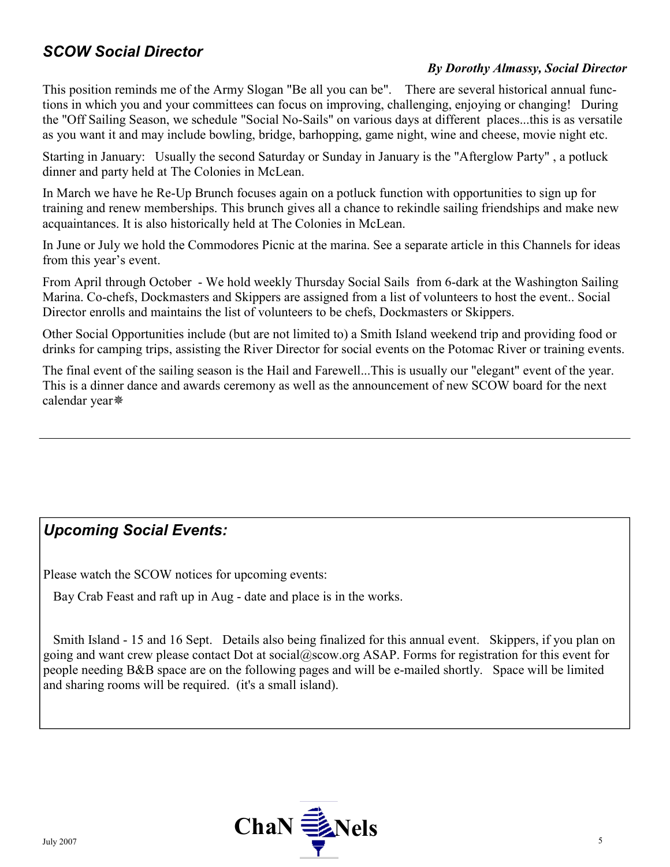# SCOW Social Director

### By Dorothy Almassy, Social Director

This position reminds me of the Army Slogan "Be all you can be". There are several historical annual functions in which you and your committees can focus on improving, challenging, enjoying or changing! During the "Off Sailing Season, we schedule "Social No-Sails" on various days at different places...this is as versatile as you want it and may include bowling, bridge, barhopping, game night, wine and cheese, movie night etc.

Starting in January: Usually the second Saturday or Sunday in January is the "Afterglow Party" , a potluck dinner and party held at The Colonies in McLean.

In March we have he Re-Up Brunch focuses again on a potluck function with opportunities to sign up for training and renew memberships. This brunch gives all a chance to rekindle sailing friendships and make new acquaintances. It is also historically held at The Colonies in McLean.

In June or July we hold the Commodores Picnic at the marina. See a separate article in this Channels for ideas from this year's event.

From April through October - We hold weekly Thursday Social Sails from 6-dark at the Washington Sailing Marina. Co-chefs, Dockmasters and Skippers are assigned from a list of volunteers to host the event.. Social Director enrolls and maintains the list of volunteers to be chefs, Dockmasters or Skippers.

Other Social Opportunities include (but are not limited to) a Smith Island weekend trip and providing food or drinks for camping trips, assisting the River Director for social events on the Potomac River or training events.

The final event of the sailing season is the Hail and Farewell...This is usually our "elegant" event of the year. This is a dinner dance and awards ceremony as well as the announcement of new SCOW board for the next calendar year

# Upcoming Social Events:

Please watch the SCOW notices for upcoming events:

Bay Crab Feast and raft up in Aug - date and place is in the works.

 Smith Island - 15 and 16 Sept. Details also being finalized for this annual event. Skippers, if you plan on going and want crew please contact Dot at social@scow.org ASAP. Forms for registration for this event for people needing B&B space are on the following pages and will be e-mailed shortly. Space will be limited and sharing rooms will be required. (it's a small island).

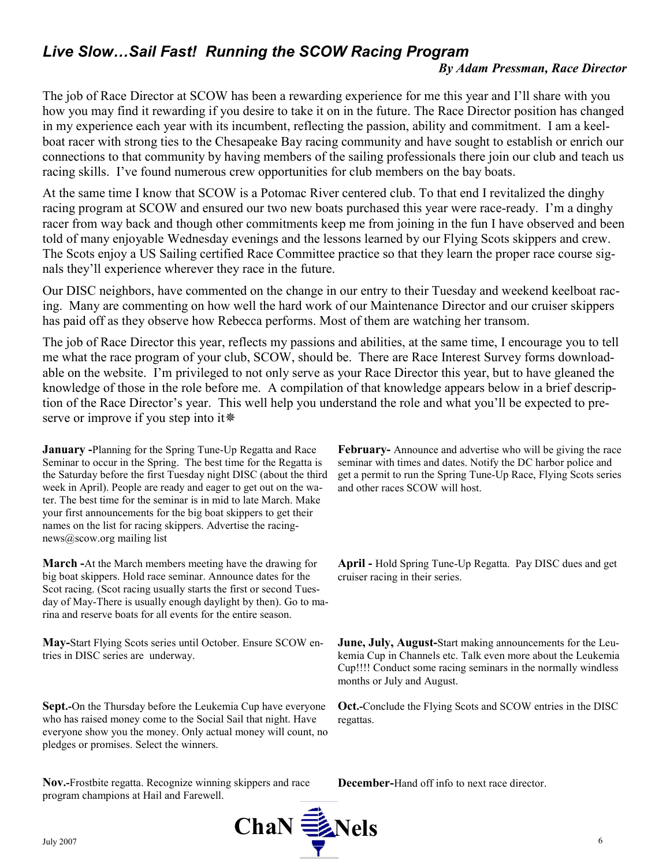# Live Slow... Sail Fast! Running the SCOW Racing Program

#### By Adam Pressman, Race Director

The job of Race Director at SCOW has been a rewarding experience for me this year and I'll share with you how you may find it rewarding if you desire to take it on in the future. The Race Director position has changed in my experience each year with its incumbent, reflecting the passion, ability and commitment. I am a keelboat racer with strong ties to the Chesapeake Bay racing community and have sought to establish or enrich our connections to that community by having members of the sailing professionals there join our club and teach us racing skills. I've found numerous crew opportunities for club members on the bay boats.

At the same time I know that SCOW is a Potomac River centered club. To that end I revitalized the dinghy racing program at SCOW and ensured our two new boats purchased this year were race-ready. I'm a dinghy racer from way back and though other commitments keep me from joining in the fun I have observed and been told of many enjoyable Wednesday evenings and the lessons learned by our Flying Scots skippers and crew. The Scots enjoy a US Sailing certified Race Committee practice so that they learn the proper race course signals they'll experience wherever they race in the future.

Our DISC neighbors, have commented on the change in our entry to their Tuesday and weekend keelboat racing. Many are commenting on how well the hard work of our Maintenance Director and our cruiser skippers has paid off as they observe how Rebecca performs. Most of them are watching her transom.

The job of Race Director this year, reflects my passions and abilities, at the same time, I encourage you to tell me what the race program of your club, SCOW, should be. There are Race Interest Survey forms downloadable on the website. I'm privileged to not only serve as your Race Director this year, but to have gleaned the knowledge of those in the role before me. A compilation of that knowledge appears below in a brief description of the Race Director's year. This well help you understand the role and what you'll be expected to preserve or improve if you step into it

January -Planning for the Spring Tune-Up Regatta and Race Seminar to occur in the Spring. The best time for the Regatta is the Saturday before the first Tuesday night DISC (about the third week in April). People are ready and eager to get out on the water. The best time for the seminar is in mid to late March. Make your first announcements for the big boat skippers to get their names on the list for racing skippers. Advertise the racingnews@scow.org mailing list

March -At the March members meeting have the drawing for big boat skippers. Hold race seminar. Announce dates for the Scot racing. (Scot racing usually starts the first or second Tuesday of May-There is usually enough daylight by then). Go to marina and reserve boats for all events for the entire season.

May-Start Flying Scots series until October. Ensure SCOW entries in DISC series are underway.

Sept.-On the Thursday before the Leukemia Cup have everyone who has raised money come to the Social Sail that night. Have everyone show you the money. Only actual money will count, no pledges or promises. Select the winners.

Nov.-Frostbite regatta. Recognize winning skippers and race program champions at Hail and Farewell.



February- Announce and advertise who will be giving the race seminar with times and dates. Notify the DC harbor police and get a permit to run the Spring Tune-Up Race, Flying Scots series and other races SCOW will host.

April - Hold Spring Tune-Up Regatta. Pay DISC dues and get cruiser racing in their series.

June, July, August-Start making announcements for the Leukemia Cup in Channels etc. Talk even more about the Leukemia Cup!!!! Conduct some racing seminars in the normally windless months or July and August.

Oct.-Conclude the Flying Scots and SCOW entries in the DISC regattas.

December-Hand off info to next race director.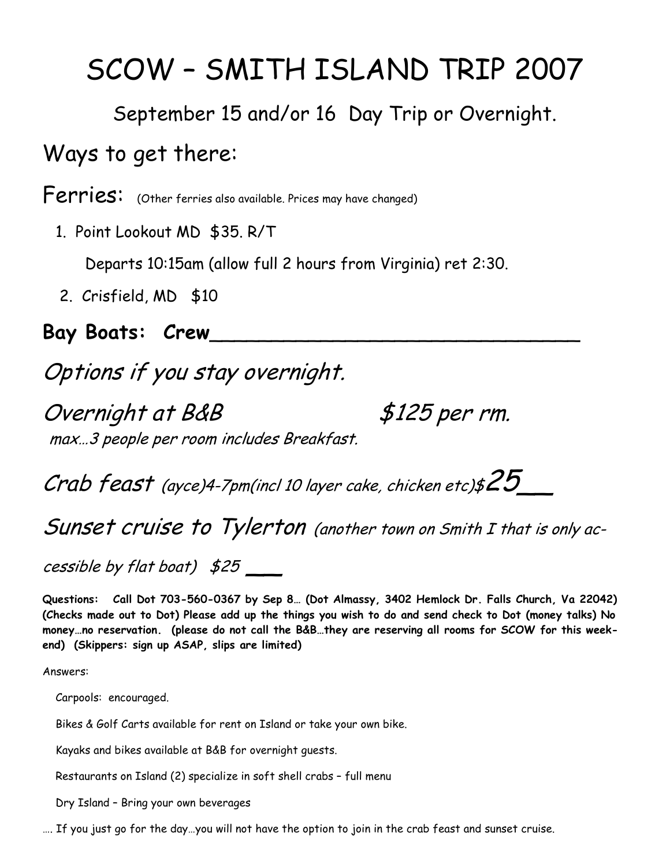# SCOW – SMITH ISLAND TRIP 2007

September 15 and/or 16 Day Trip or Overnight.

# Ways to get there:

Ferries: (Other ferries also available. Prices may have changed)

1. Point Lookout MD \$35. R/T

Departs 10:15am (allow full 2 hours from Virginia) ret 2:30.

2. Crisfield, MD \$10

Bay Boats: Crew\_\_\_\_\_\_\_\_\_\_\_\_\_\_\_\_\_\_\_\_\_\_\_\_\_\_\_\_\_\_

# Options if you stay overnight.

Overnight at B&B \$125 per rm. max…3 people per room includes Breakfast.

Crab feast (ayce)4-7pm(incl 10 layer cake, chicken etc)\$ $25$ 

Sunset cruise to Tylerton (another town on Smith I that is only ac-

cessible by flat boat)  $$25$   $\_\_$ 

Questions: Call Dot 703-560-0367 by Sep 8… (Dot Almassy, 3402 Hemlock Dr. Falls Church, Va 22042) (Checks made out to Dot) Please add up the things you wish to do and send check to Dot (money talks) No money…no reservation. (please do not call the B&B…they are reserving all rooms for SCOW for this weekend) (Skippers: sign up ASAP, slips are limited)

Answers:

Carpools: encouraged.

Bikes & Golf Carts available for rent on Island or take your own bike.

Kayaks and bikes available at B&B for overnight guests.

Restaurants on Island (2) specialize in soft shell crabs – full menu

Dry Island – Bring your own beverages

…. If you just go for the day…you will not have the option to join in the crab feast and sunset cruise.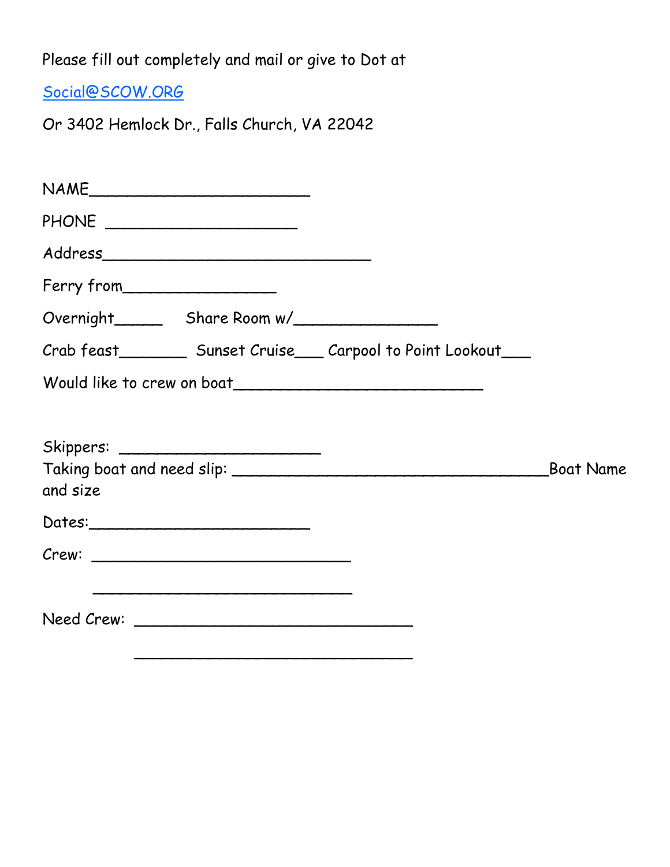Please fill out completely and mail or give to Dot at

Social@SCOW.ORG

Or 3402 Hemlock Dr., Falls Church, VA 22042

| NAME                           |                                                                        |
|--------------------------------|------------------------------------------------------------------------|
| PHONE ________________________ |                                                                        |
|                                |                                                                        |
| Ferry from                     |                                                                        |
|                                |                                                                        |
|                                | Crab feast____________ Sunset Cruise_____ Carpool to Point Lookout____ |
|                                |                                                                        |
|                                |                                                                        |
|                                |                                                                        |
| and size                       |                                                                        |
|                                |                                                                        |
|                                |                                                                        |
|                                |                                                                        |
|                                |                                                                        |
|                                |                                                                        |
|                                |                                                                        |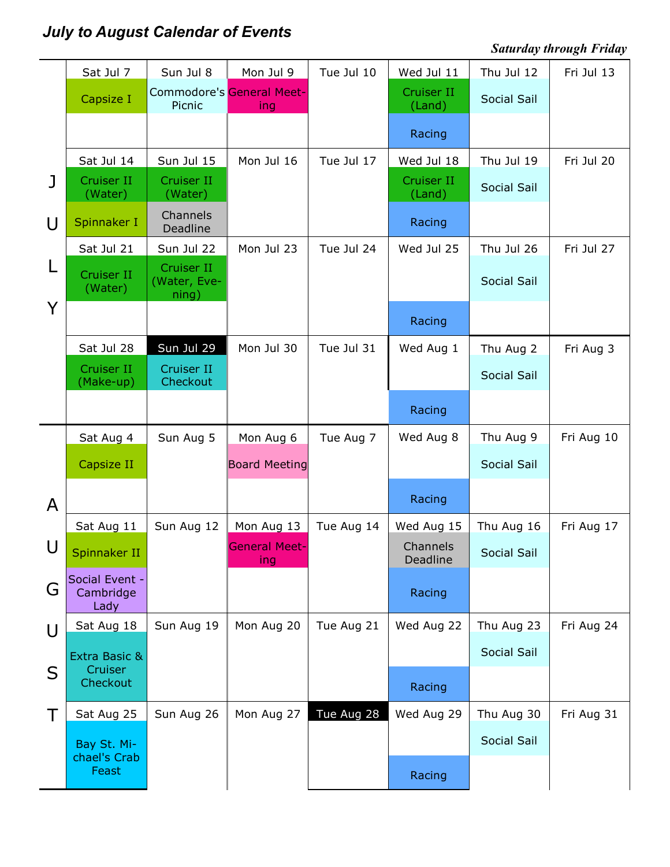# July to August Calendar of Events

# Saturday through Friday

|           | Sat Jul 7                           | Sun Jul 8                           | Mon Jul 9                               | Tue Jul 10 | Wed Jul 11           | Thu Jul 12         | Fri Jul 13 |
|-----------|-------------------------------------|-------------------------------------|-----------------------------------------|------------|----------------------|--------------------|------------|
|           | Capsize I                           | Picnic                              | <b>Commodore's General Meet-</b><br>ing |            | Cruiser II<br>(Land) | <b>Social Sail</b> |            |
|           |                                     |                                     |                                         |            | Racing               |                    |            |
|           | Sat Jul 14                          | Sun Jul 15                          | Mon Jul 16                              | Tue Jul 17 | Wed Jul 18           | Thu Jul 19         | Fri Jul 20 |
| J         | Cruiser II<br>(Water)               | Cruiser II<br>(Water)               |                                         |            | Cruiser II<br>(Land) | <b>Social Sail</b> |            |
| U         | Spinnaker I                         | Channels<br>Deadline                |                                         |            | Racing               |                    |            |
|           | Sat Jul 21                          | Sun Jul 22                          | Mon Jul 23                              | Tue Jul 24 | Wed Jul 25           | Thu Jul 26         | Fri Jul 27 |
| L         | Cruiser II<br>(Water)               | Cruiser II<br>(Water, Eve-<br>ning) |                                         |            |                      | <b>Social Sail</b> |            |
| Y         |                                     |                                     |                                         |            | Racing               |                    |            |
|           | Sat Jul 28                          | Sun Jul 29                          | Mon Jul 30                              | Tue Jul 31 | Wed Aug 1            | Thu Aug 2          | Fri Aug 3  |
|           | Cruiser II<br>(Make-up)             | Cruiser II<br>Checkout              |                                         |            |                      | Social Sail        |            |
|           |                                     |                                     |                                         |            | Racing               |                    |            |
|           | Sat Aug 4                           | Sun Aug 5                           | Mon Aug 6                               | Tue Aug 7  | Wed Aug 8            | Thu Aug 9          | Fri Aug 10 |
|           | Capsize II                          |                                     | <b>Board Meeting</b>                    |            |                      | <b>Social Sail</b> |            |
| A         |                                     |                                     |                                         |            | Racing               |                    |            |
|           | Sat Aug 11                          | Sun Aug 12                          | Mon Aug 13                              | Tue Aug 14 | Wed Aug 15           | Thu Aug 16         | Fri Aug 17 |
| $\bigcup$ | Spinnaker II                        |                                     | <b>General Meet-</b><br>ing             |            | Channels<br>Deadline | Social Sail        |            |
| G         | Social Event -<br>Cambridge<br>Lady |                                     |                                         |            | Racing               |                    |            |
| U         | Sat Aug 18                          | Sun Aug 19                          | Mon Aug 20                              | Tue Aug 21 | Wed Aug 22           | Thu Aug 23         | Fri Aug 24 |
|           | Extra Basic &                       |                                     |                                         |            |                      | Social Sail        |            |
| S         | Cruiser<br>Checkout                 |                                     |                                         |            | Racing               |                    |            |
| Τ         | Sat Aug 25                          | Sun Aug 26                          | Mon Aug 27                              | Tue Aug 28 | Wed Aug 29           | Thu Aug 30         | Fri Aug 31 |
|           | Bay St. Mi-                         |                                     |                                         |            |                      | Social Sail        |            |
|           | chael's Crab<br>Feast               |                                     |                                         |            | Racing               |                    |            |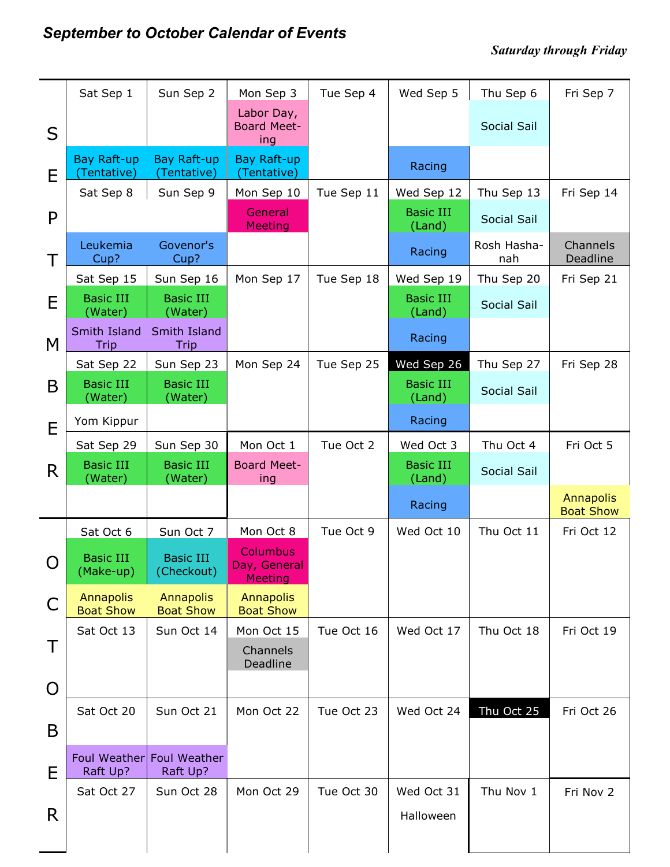|    | Sat Sep 1                            | Sun Sep 2                            | Mon Sep 3                                  | Tue Sep 4  | Wed Sep 5                  | Thu Sep 6          | Fri Sep 7                     |
|----|--------------------------------------|--------------------------------------|--------------------------------------------|------------|----------------------------|--------------------|-------------------------------|
| S  |                                      |                                      | Labor Day,<br><b>Board Meet-</b><br>ing    |            |                            | Social Sail        |                               |
| E  | Bay Raft-up<br>(Tentative)           | Bay Raft-up<br>(Tentative)           | Bay Raft-up<br>(Tentative)                 |            | Racing                     |                    |                               |
|    | Sat Sep 8                            | Sun Sep 9                            | Mon Sep 10                                 | Tue Sep 11 | Wed Sep 12                 | Thu Sep 13         | Fri Sep 14                    |
| P  |                                      |                                      | General<br><b>Meeting</b>                  |            | <b>Basic III</b><br>(Land) | <b>Social Sail</b> |                               |
| Τ  | Leukemia<br>Cup?                     | Govenor's<br>Cup?                    |                                            |            | Racing                     | Rosh Hasha-<br>nah | Channels<br>Deadline          |
|    | Sat Sep 15                           | Sun Sep 16                           | Mon Sep 17                                 | Tue Sep 18 | Wed Sep 19                 | Thu Sep 20         | Fri Sep 21                    |
| E  | <b>Basic III</b><br>(Water)          | <b>Basic III</b><br>(Water)          |                                            |            | <b>Basic III</b><br>(Land) | <b>Social Sail</b> |                               |
| M  | Smith Island<br>Trip                 | Smith Island<br><b>Trip</b>          |                                            |            | Racing                     |                    |                               |
|    | Sat Sep 22                           | Sun Sep 23                           | Mon Sep 24                                 | Tue Sep 25 | Wed Sep 26                 | Thu Sep 27         | Fri Sep 28                    |
| B  | <b>Basic III</b><br>(Water)          | <b>Basic III</b><br>(Water)          |                                            |            | <b>Basic III</b><br>(Land) | <b>Social Sail</b> |                               |
| E  | Yom Kippur                           |                                      |                                            |            | Racing                     |                    |                               |
|    | Sat Sep 29                           | Sun Sep 30                           | Mon Oct 1                                  | Tue Oct 2  | Wed Oct 3                  | Thu Oct 4          | Fri Oct 5                     |
| R. | <b>Basic III</b><br>(Water)          | <b>Basic III</b><br>(Water)          | <b>Board Meet-</b><br>ing                  |            | <b>Basic III</b><br>(Land) | <b>Social Sail</b> |                               |
|    |                                      |                                      |                                            |            | Racing                     |                    | Annapolis<br><b>Boat Show</b> |
|    | Sat Oct 6                            | Sun Oct 7                            | Mon Oct 8                                  | Tue Oct 9  | Wed Oct 10                 | Thu Oct 11         | Fri Oct 12                    |
| O  | <b>Basic III</b><br>(Make-up)        | <b>Basic III</b><br>(Checkout)       | Columbus<br>Day, General<br><b>Meeting</b> |            |                            |                    |                               |
| C  | <b>Annapolis</b><br><b>Boat Show</b> | <b>Annapolis</b><br><b>Boat Show</b> | <b>Annapolis</b><br><b>Boat Show</b>       |            |                            |                    |                               |
| Τ  | Sat Oct 13                           | Sun Oct 14                           | Mon Oct 15<br>Channels                     | Tue Oct 16 | Wed Oct 17                 | Thu Oct 18         | Fri Oct 19                    |
|    |                                      |                                      | Deadline                                   |            |                            |                    |                               |
| O  |                                      |                                      |                                            |            |                            |                    |                               |
|    | Sat Oct 20                           | Sun Oct 21                           | Mon Oct 22                                 | Tue Oct 23 | Wed Oct 24                 | Thu Oct 25         | Fri Oct 26                    |
| B  |                                      |                                      |                                            |            |                            |                    |                               |
| E  | Foul Weather<br>Raft Up?             | <b>Foul Weather</b><br>Raft Up?      |                                            |            |                            |                    |                               |
|    | Sat Oct 27                           | Sun Oct 28                           | Mon Oct 29                                 | Tue Oct 30 | Wed Oct 31                 | Thu Nov 1          | Fri Nov 2                     |
| R  |                                      |                                      |                                            |            | Halloween                  |                    |                               |
|    |                                      |                                      |                                            |            |                            |                    |                               |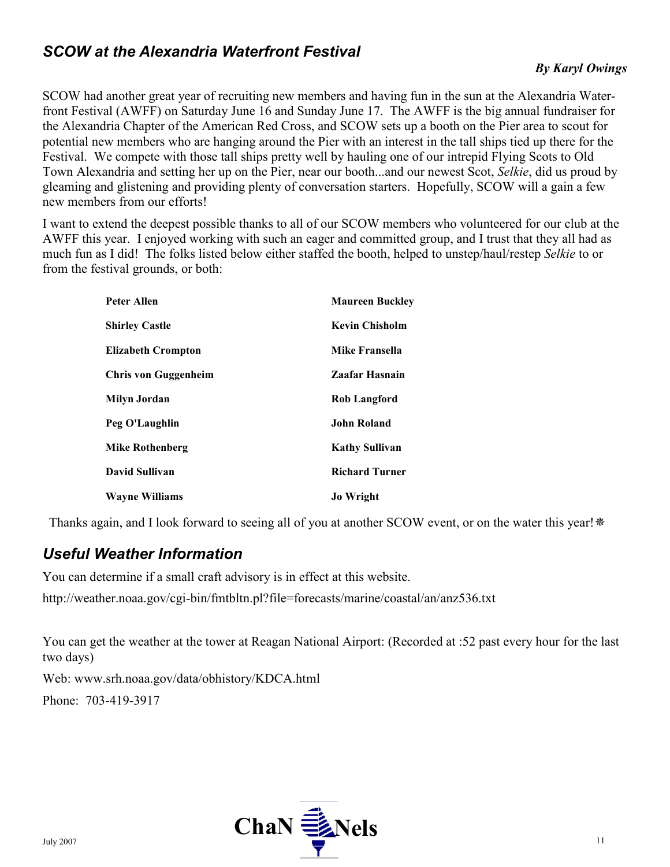# SCOW at the Alexandria Waterfront Festival

SCOW had another great year of recruiting new members and having fun in the sun at the Alexandria Waterfront Festival (AWFF) on Saturday June 16 and Sunday June 17. The AWFF is the big annual fundraiser for the Alexandria Chapter of the American Red Cross, and SCOW sets up a booth on the Pier area to scout for potential new members who are hanging around the Pier with an interest in the tall ships tied up there for the Festival. We compete with those tall ships pretty well by hauling one of our intrepid Flying Scots to Old Town Alexandria and setting her up on the Pier, near our booth...and our newest Scot, Selkie, did us proud by gleaming and glistening and providing plenty of conversation starters. Hopefully, SCOW will a gain a few new members from our efforts!

I want to extend the deepest possible thanks to all of our SCOW members who volunteered for our club at the AWFF this year. I enjoyed working with such an eager and committed group, and I trust that they all had as much fun as I did! The folks listed below either staffed the booth, helped to unstep/haul/restep Selkie to or from the festival grounds, or both:

| Peter Allen               | <b>Maureen Buckley</b> |
|---------------------------|------------------------|
| <b>Shirley Castle</b>     | <b>Kevin Chisholm</b>  |
| <b>Elizabeth Crompton</b> | Mike Fransella         |
| Chris von Guggenheim      | Zaafar Hasnain         |
| Milyn Jordan              | <b>Rob Langford</b>    |
| Peg O'Laughlin            | John Roland            |
| <b>Mike Rothenberg</b>    | <b>Kathy Sullivan</b>  |
| David Sullivan            | <b>Richard Turner</b>  |
| <b>Wayne Williams</b>     | <b>Jo Wright</b>       |

Thanks again, and I look forward to seeing all of you at another SCOW event, or on the water this year! \*

# Useful Weather Information

You can determine if a small craft advisory is in effect at this website.

http://weather.noaa.gov/cgi-bin/fmtbltn.pl?file=forecasts/marine/coastal/an/anz536.txt

You can get the weather at the tower at Reagan National Airport: (Recorded at :52 past every hour for the last two days)

Web: www.srh.noaa.gov/data/obhistory/KDCA.html

Phone: 703-419-3917

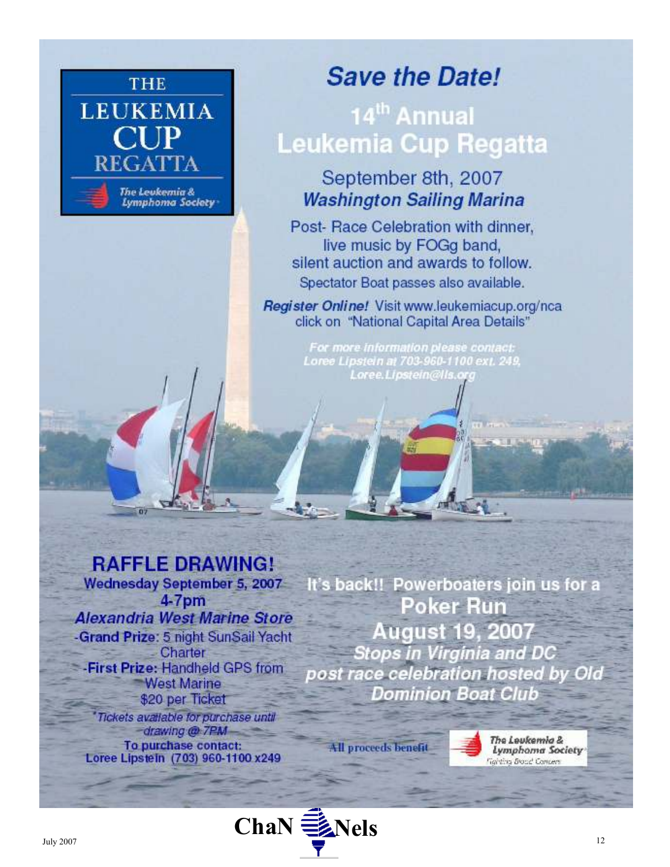

# **Save the Date!**

# 14<sup>th</sup> Annual **Leukemia Cup Regatta**

# September 8th, 2007 **Washington Sailing Marina**

Post- Race Celebration with dinner, live music by FOGg band, silent auction and awards to follow. Spectator Boat passes also available.

Register Online! Visit www.leukemiacup.org/nca click on "National Capital Area Details"

> For more information please contact: Loree Lipstein at 703-960-1100 ext. 249, Loree.Lipstein@lls.c

# **RAFFLE DRAWING!**

Wednesday September 5, 2007 4-7pm **Alexandria West Marine Store** -Grand Prize: 5 night SunSail Yacht Charter -First Prize: Handheld GPS from **West Marine** \$20 per Ticket Tickets available for purchase until

-drawing @ 7PM-To purchase contact:<br>Loree Lipstein (703) 960-1100 x249 It's back!! Powerboaters join us for a Poker Run **August 19, 2007** Stops in Virginia and DC post race celebration hosted by Old **Dominion Boat Club** 

**All proceeds benefit** 

The Leukemia & Lymphoma Society **Fighting Broad Concern** 

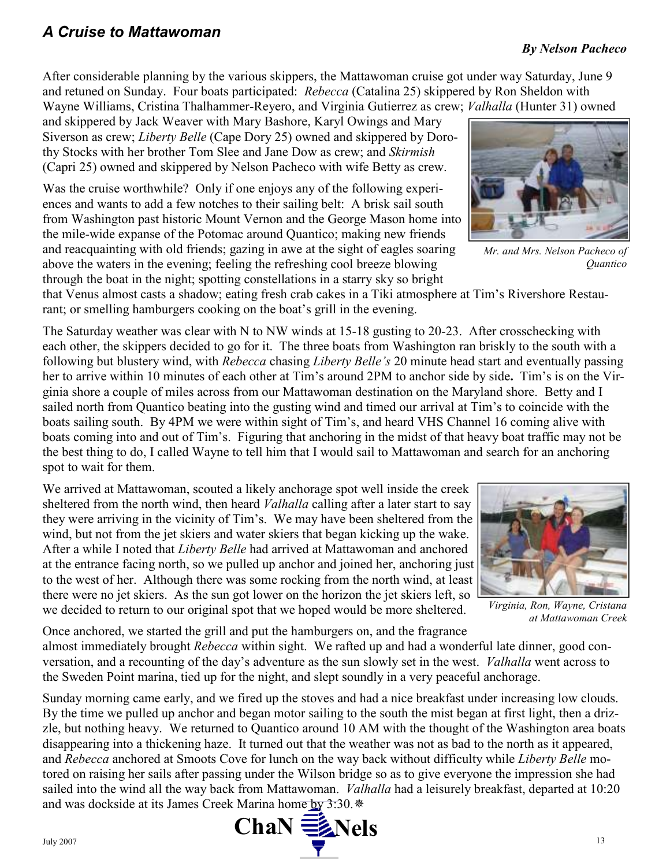After considerable planning by the various skippers, the Mattawoman cruise got under way Saturday, June 9 and retuned on Sunday. Four boats participated: Rebecca (Catalina 25) skippered by Ron Sheldon with Wayne Williams, Cristina Thalhammer-Reyero, and Virginia Gutierrez as crew; *Valhalla* (Hunter 31) owned

and skippered by Jack Weaver with Mary Bashore, Karyl Owings and Mary Siverson as crew; Liberty Belle (Cape Dory 25) owned and skippered by Dorothy Stocks with her brother Tom Slee and Jane Dow as crew; and Skirmish (Capri 25) owned and skippered by Nelson Pacheco with wife Betty as crew.

Was the cruise worthwhile? Only if one enjoys any of the following experiences and wants to add a few notches to their sailing belt: A brisk sail south from Washington past historic Mount Vernon and the George Mason home into the mile-wide expanse of the Potomac around Quantico; making new friends and reacquainting with old friends; gazing in awe at the sight of eagles soaring above the waters in the evening; feeling the refreshing cool breeze blowing through the boat in the night; spotting constellations in a starry sky so bright

that Venus almost casts a shadow; eating fresh crab cakes in a Tiki atmosphere at Tim's Rivershore Restaurant; or smelling hamburgers cooking on the boat's grill in the evening.

The Saturday weather was clear with N to NW winds at 15-18 gusting to 20-23. After crosschecking with each other, the skippers decided to go for it. The three boats from Washington ran briskly to the south with a following but blustery wind, with Rebecca chasing Liberty Belle's 20 minute head start and eventually passing her to arrive within 10 minutes of each other at Tim's around 2PM to anchor side by side. Tim's is on the Virginia shore a couple of miles across from our Mattawoman destination on the Maryland shore. Betty and I sailed north from Quantico beating into the gusting wind and timed our arrival at Tim's to coincide with the boats sailing south. By 4PM we were within sight of Tim's, and heard VHS Channel 16 coming alive with boats coming into and out of Tim's. Figuring that anchoring in the midst of that heavy boat traffic may not be the best thing to do, I called Wayne to tell him that I would sail to Mattawoman and search for an anchoring spot to wait for them.

We arrived at Mattawoman, scouted a likely anchorage spot well inside the creek sheltered from the north wind, then heard *Valhalla* calling after a later start to say they were arriving in the vicinity of Tim's. We may have been sheltered from the wind, but not from the jet skiers and water skiers that began kicking up the wake. After a while I noted that *Liberty Belle* had arrived at Mattawoman and anchored at the entrance facing north, so we pulled up anchor and joined her, anchoring just to the west of her. Although there was some rocking from the north wind, at least there were no jet skiers. As the sun got lower on the horizon the jet skiers left, so we decided to return to our original spot that we hoped would be more sheltered.

Once anchored, we started the grill and put the hamburgers on, and the fragrance almost immediately brought Rebecca within sight. We rafted up and had a wonderful late dinner, good conversation, and a recounting of the day's adventure as the sun slowly set in the west. Valhalla went across to the Sweden Point marina, tied up for the night, and slept soundly in a very peaceful anchorage.

Sunday morning came early, and we fired up the stoves and had a nice breakfast under increasing low clouds. By the time we pulled up anchor and began motor sailing to the south the mist began at first light, then a drizzle, but nothing heavy. We returned to Quantico around 10 AM with the thought of the Washington area boats disappearing into a thickening haze. It turned out that the weather was not as bad to the north as it appeared, and Rebecca anchored at Smoots Cove for lunch on the way back without difficulty while Liberty Belle motored on raising her sails after passing under the Wilson bridge so as to give everyone the impression she had sailed into the wind all the way back from Mattawoman. *Valhalla* had a leisurely breakfast, departed at 10:20 and was dockside at its James Creek Marina home by 3:30. \*

Mr. and Mrs. Nelson Pacheco of Quantico



Virginia, Ron, Wayne, Cristana at Mattawoman Creek



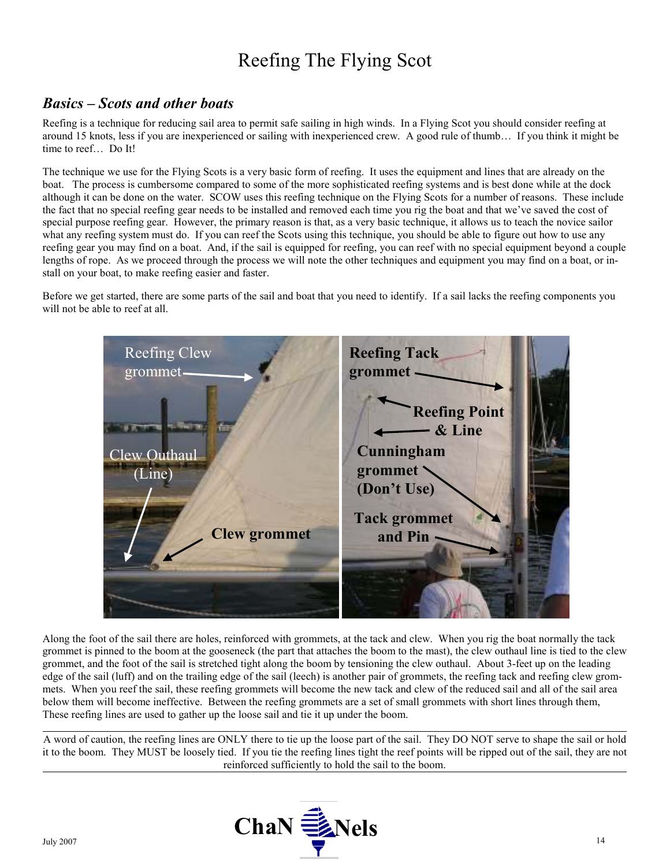# Reefing The Flying Scot

# Basics – Scots and other boats

Reefing is a technique for reducing sail area to permit safe sailing in high winds. In a Flying Scot you should consider reefing at around 15 knots, less if you are inexperienced or sailing with inexperienced crew. A good rule of thumb… If you think it might be time to reef… Do It!

The technique we use for the Flying Scots is a very basic form of reefing. It uses the equipment and lines that are already on the boat. The process is cumbersome compared to some of the more sophisticated reefing systems and is best done while at the dock although it can be done on the water. SCOW uses this reefing technique on the Flying Scots for a number of reasons. These include the fact that no special reefing gear needs to be installed and removed each time you rig the boat and that we've saved the cost of special purpose reefing gear. However, the primary reason is that, as a very basic technique, it allows us to teach the novice sailor what any reefing system must do. If you can reef the Scots using this technique, you should be able to figure out how to use any reefing gear you may find on a boat. And, if the sail is equipped for reefing, you can reef with no special equipment beyond a couple lengths of rope. As we proceed through the process we will note the other techniques and equipment you may find on a boat, or install on your boat, to make reefing easier and faster.

Before we get started, there are some parts of the sail and boat that you need to identify. If a sail lacks the reefing components you will not be able to reef at all.



Along the foot of the sail there are holes, reinforced with grommets, at the tack and clew. When you rig the boat normally the tack grommet is pinned to the boom at the gooseneck (the part that attaches the boom to the mast), the clew outhaul line is tied to the clew grommet, and the foot of the sail is stretched tight along the boom by tensioning the clew outhaul. About 3-feet up on the leading edge of the sail (luff) and on the trailing edge of the sail (leech) is another pair of grommets, the reefing tack and reefing clew grommets. When you reef the sail, these reefing grommets will become the new tack and clew of the reduced sail and all of the sail area below them will become ineffective. Between the reefing grommets are a set of small grommets with short lines through them, These reefing lines are used to gather up the loose sail and tie it up under the boom.

A word of caution, the reefing lines are ONLY there to tie up the loose part of the sail. They DO NOT serve to shape the sail or hold it to the boom. They MUST be loosely tied. If you tie the reefing lines tight the reef points will be ripped out of the sail, they are not reinforced sufficiently to hold the sail to the boom.

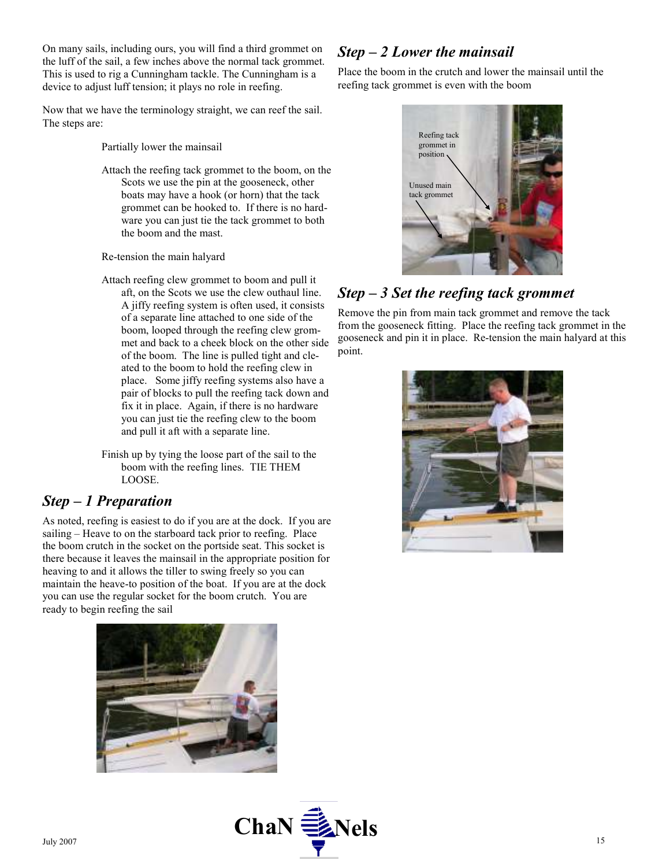On many sails, including ours, you will find a third grommet on the luff of the sail, a few inches above the normal tack grommet. This is used to rig a Cunningham tackle. The Cunningham is a device to adjust luff tension; it plays no role in reefing.

Now that we have the terminology straight, we can reef the sail. The steps are:

Partially lower the mainsail

Attach the reefing tack grommet to the boom, on the Scots we use the pin at the gooseneck, other boats may have a hook (or horn) that the tack grommet can be hooked to. If there is no hardware you can just tie the tack grommet to both the boom and the mast.

Re-tension the main halyard

Attach reefing clew grommet to boom and pull it aft, on the Scots we use the clew outhaul line. A jiffy reefing system is often used, it consists of a separate line attached to one side of the boom, looped through the reefing clew grommet and back to a cheek block on the other side of the boom. The line is pulled tight and cleated to the boom to hold the reefing clew in place. Some jiffy reefing systems also have a pair of blocks to pull the reefing tack down and fix it in place. Again, if there is no hardware you can just tie the reefing clew to the boom and pull it aft with a separate line.

Finish up by tying the loose part of the sail to the boom with the reefing lines. TIE THEM LOOSE.

# Step – 1 Preparation

As noted, reefing is easiest to do if you are at the dock. If you are sailing – Heave to on the starboard tack prior to reefing. Place the boom crutch in the socket on the portside seat. This socket is there because it leaves the mainsail in the appropriate position for heaving to and it allows the tiller to swing freely so you can maintain the heave-to position of the boat. If you are at the dock you can use the regular socket for the boom crutch. You are ready to begin reefing the sail



# Step – 2 Lower the mainsail

Place the boom in the crutch and lower the mainsail until the reefing tack grommet is even with the boom



# Step – 3 Set the reefing tack grommet

Remove the pin from main tack grommet and remove the tack from the gooseneck fitting. Place the reefing tack grommet in the gooseneck and pin it in place. Re-tension the main halyard at this point.



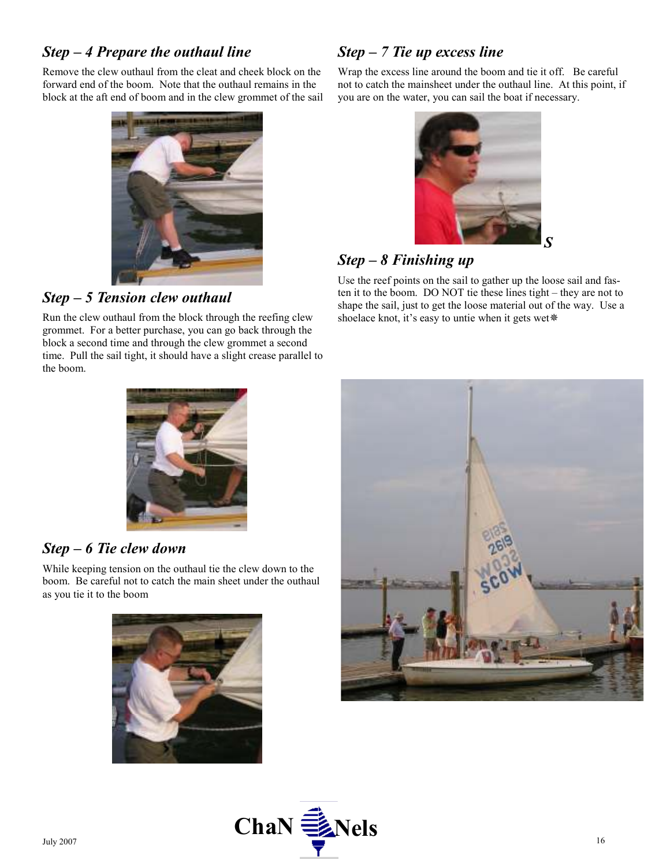### Step – 4 Prepare the outhaul line

Remove the clew outhaul from the cleat and cheek block on the forward end of the boom. Note that the outhaul remains in the block at the aft end of boom and in the clew grommet of the sail



Step – 5 Tension clew outhaul

Run the clew outhaul from the block through the reefing clew grommet. For a better purchase, you can go back through the block a second time and through the clew grommet a second time. Pull the sail tight, it should have a slight crease parallel to the boom.

# Step – 7 Tie up excess line

Wrap the excess line around the boom and tie it off. Be careful not to catch the mainsheet under the outhaul line. At this point, if you are on the water, you can sail the boat if necessary.



## Step – 8 Finishing up

Use the reef points on the sail to gather up the loose sail and fasten it to the boom. DO NOT tie these lines tight – they are not to shape the sail, just to get the loose material out of the way. Use a shoelace knot, it's easy to untie when it gets wet\*



### Step – 6 Tie clew down

While keeping tension on the outhaul tie the clew down to the boom. Be careful not to catch the main sheet under the outhaul as you tie it to the boom